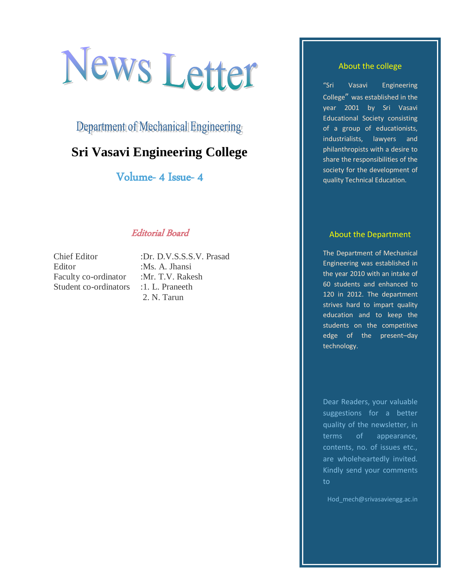# News Letter

Department of Mechanical Engineering

# **Sri Vasavi Engineering College**

Volume- 4 Issue- 4

# Editorial Board

Editor :Ms. A. Jhansi Faculty co-ordinator :Mr. T.V. Rakesh Student co-ordinators : 1. L. Praneeth

Chief Editor :Dr. D.V.S.S.S.V. Prasad 2. N. Tarun

# About the college

"Sri Vasavi Engineering College" was established in the year 2001 by Sri Vasavi Educational Society consisting of a group of educationists, industrialists, lawyers and philanthropists with a desire to share the responsibilities of the society for the development of quality Technical Education.

# About the Department

The Department of Mechanical Engineering was established in the year 2010 with an intake of 60 students and enhanced to 120 in 2012. The department strives hard to impart quality education and to keep the students on the competitive edge of the present–day technology.

Dear Readers, your valuable suggestions for a better quality of the newsletter, in terms of appearance, contents, no. of issues etc., are wholeheartedly invited. Kindly send your comments to

Hod\_mech@srivasaviengg.ac.in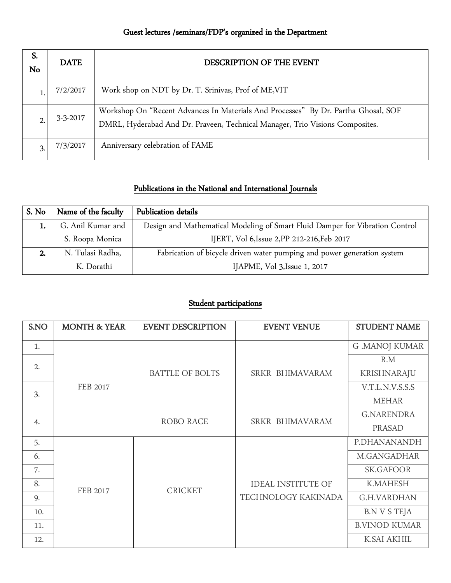# Guest lectures /seminars/FDP's organized in the Department

| S.<br>No | <b>DATE</b>    | DESCRIPTION OF THE EVENT                                                                                                                                           |
|----------|----------------|--------------------------------------------------------------------------------------------------------------------------------------------------------------------|
|          | 7/2/2017       | Work shop on NDT by Dr. T. Srinivas, Prof of ME, VIT                                                                                                               |
| 2.       | $3 - 3 - 2017$ | Workshop On "Recent Advances In Materials And Processes" By Dr. Partha Ghosal, SOF<br>DMRL, Hyderabad And Dr. Praveen, Technical Manager, Trio Visions Composites. |
|          | 7/3/2017       | Anniversary celebration of FAME                                                                                                                                    |

# Publications in the National and International Journals

| S. No | Name of the faculty | Publication details                                                          |
|-------|---------------------|------------------------------------------------------------------------------|
|       | G. Anil Kumar and   | Design and Mathematical Modeling of Smart Fluid Damper for Vibration Control |
|       | S. Roopa Monica     | IJERT, Vol 6, Issue 2, PP 212-216, Feb 2017                                  |
| 2.    | N. Tulasi Radha,    | Fabrication of bicycle driven water pumping and power generation system      |
|       | K. Dorathi          | IJAPME, Vol 3, Issue 1, 2017                                                 |

# Student participations

| S.NO | <b>MONTH &amp; YEAR</b> | <b>EVENT DESCRIPTION</b> | <b>EVENT VENUE</b>        | <b>STUDENT NAME</b>   |
|------|-------------------------|--------------------------|---------------------------|-----------------------|
| 1.   |                         |                          |                           | <b>G</b> .MANOJ KUMAR |
| 2.   |                         | <b>BATTLE OF BOLTS</b>   | SRKR BHIMAVARAM           | R.M                   |
|      |                         |                          |                           | KRISHNARAJU           |
| 3.   | FEB 2017                |                          |                           | V.T.L.N.V.S.S.S       |
|      |                         |                          |                           | <b>MEHAR</b>          |
| 4.   |                         | ROBO RACE                | SRKR BHIMAVARAM           | <b>G.NARENDRA</b>     |
|      |                         |                          |                           | <b>PRASAD</b>         |
| 5.   |                         |                          |                           | P.DHANANANDH          |
| 6.   |                         |                          |                           | M.GANGADHAR           |
| 7.   |                         |                          |                           | SK.GAFOOR             |
| 8.   | FEB 2017                | <b>CRICKET</b>           | <b>IDEAL INSTITUTE OF</b> | K.MAHESH              |
| 9.   |                         |                          | TECHNOLOGY KAKINADA       | G.H.VARDHAN           |
| 10.  |                         |                          |                           | B.N V S TEJA          |
| 11.  |                         |                          |                           | <b>B.VINOD KUMAR</b>  |
| 12.  |                         |                          |                           | K.SAI AKHIL           |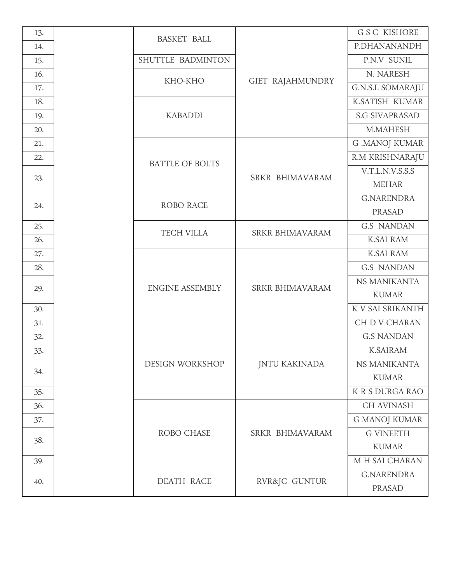| 13. |  |                        |                        | <b>GSC KISHORE</b>      |
|-----|--|------------------------|------------------------|-------------------------|
| 14. |  | <b>BASKET BALL</b>     |                        | P.DHANANANDH            |
| 15. |  | SHUTTLE BADMINTON      |                        | P.N.V SUNIL             |
| 16. |  |                        |                        | N. NARESH               |
| 17. |  | KHO-KHO                | GIET RAJAHMUNDRY       | <b>G.N.S.L SOMARAJU</b> |
| 18. |  | <b>KABADDI</b>         |                        | K.SATISH KUMAR          |
| 19. |  |                        |                        | <b>S.G SIVAPRASAD</b>   |
| 20. |  |                        |                        | M.MAHESH                |
| 21. |  |                        |                        | <b>G</b> .MANOJ KUMAR   |
| 22. |  | <b>BATTLE OF BOLTS</b> | SRKR BHIMAVARAM        | R.M KRISHNARAJU         |
| 23. |  |                        |                        | V.T.L.N.V.S.S.S         |
|     |  |                        |                        | <b>MEHAR</b>            |
| 24. |  | ROBO RACE              |                        | <b>G.NARENDRA</b>       |
|     |  |                        |                        | <b>PRASAD</b>           |
| 25. |  | TECH VILLA             | <b>SRKR BHIMAVARAM</b> | <b>G.S NANDAN</b>       |
| 26. |  |                        |                        | <b>K.SAI RAM</b>        |
| 27. |  | <b>ENGINE ASSEMBLY</b> | <b>SRKR BHIMAVARAM</b> | <b>K.SAI RAM</b>        |
| 28. |  |                        |                        | <b>G.S NANDAN</b>       |
| 29. |  |                        |                        | NS MANIKANTA            |
|     |  |                        |                        | <b>KUMAR</b>            |
| 30. |  |                        |                        | K V SAI SRIKANTH        |
| 31. |  |                        |                        | CH D V CHARAN           |
| 32. |  |                        |                        | <b>G.S NANDAN</b>       |
| 33. |  | DESIGN WORKSHOP        | <b>JNTU KAKINADA</b>   | <b>K.SAIRAM</b>         |
| 34. |  |                        |                        | NS MANIKANTA            |
|     |  |                        |                        | <b>KUMAR</b>            |
| 35. |  |                        |                        | <b>K R S DURGA RAO</b>  |
| 36. |  |                        | SRKR BHIMAVARAM        | <b>CH AVINASH</b>       |
| 37. |  |                        |                        | <b>G MANOJ KUMAR</b>    |
| 38. |  | ROBO CHASE             |                        | <b>G VINEETH</b>        |
|     |  |                        |                        | <b>KUMAR</b>            |
| 39. |  |                        |                        | M H SAI CHARAN          |
| 40. |  | DEATH RACE             | RVR&JC GUNTUR          | <b>G.NARENDRA</b>       |
|     |  |                        |                        | <b>PRASAD</b>           |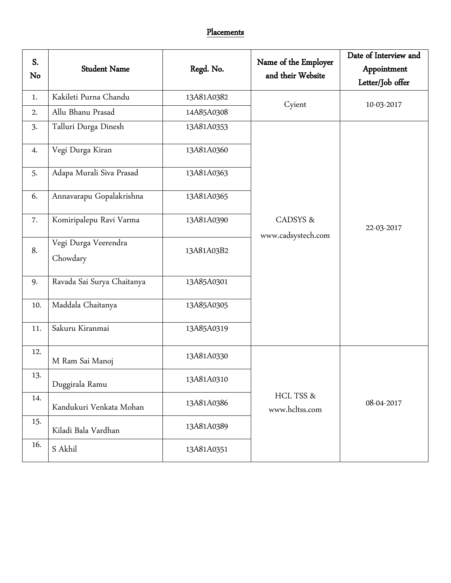#### Placements

| S.<br>No | <b>Student Name</b>              | Regd. No.  | Name of the Employer<br>and their Website | Date of Interview and<br>Appointment<br>Letter/Job offer |
|----------|----------------------------------|------------|-------------------------------------------|----------------------------------------------------------|
| 1.       | Kakileti Purna Chandu            | 13A81A0382 | Cyient                                    | 10-03-2017                                               |
| 2.       | Allu Bhanu Prasad                | 14A85A0308 |                                           |                                                          |
| 3.       | Talluri Durga Dinesh             | 13A81A0353 |                                           |                                                          |
| 4.       | Vegi Durga Kiran                 | 13A81A0360 |                                           |                                                          |
| 5.       | Adapa Murali Siva Prasad         | 13A81A0363 |                                           |                                                          |
| 6.       | Annavarapu Gopalakrishna         | 13A81A0365 |                                           |                                                          |
| 7.       | Komiripalepu Ravi Varma          | 13A81A0390 | <b>CADSYS &amp;</b>                       | 22-03-2017                                               |
| 8.       | Vegi Durga Veerendra<br>Chowdary | 13A81A03B2 | www.cadsystech.com                        |                                                          |
| 9.       | Ravada Sai Surya Chaitanya       | 13A85A0301 |                                           |                                                          |
| 10.      | Maddala Chaitanya                | 13A85A0305 |                                           |                                                          |
| 11.      | Sakuru Kiranmai                  | 13A85A0319 |                                           |                                                          |
| 12.      | M Ram Sai Manoj                  | 13A81A0330 |                                           |                                                          |
| 13.      | Duggirala Ramu                   | 13A81A0310 |                                           |                                                          |
| 14.      | Kandukuri Venkata Mohan          | 13A81A0386 | HCL TSS &<br>www.hcltss.com               | 08-04-2017                                               |
| 15.      | Kiladi Bala Vardhan              | 13A81A0389 |                                           |                                                          |
| 16.      | S Akhil                          | 13A81A0351 |                                           |                                                          |